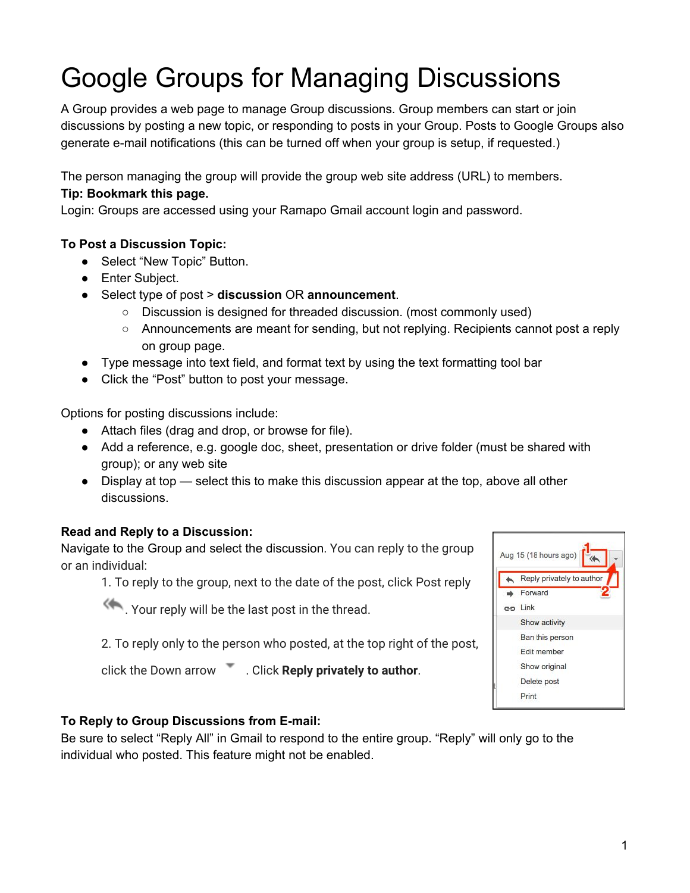# Google Groups for Managing Discussions

A Group provides a web page to manage Group discussions. Group members can start or join discussions by posting a new topic, or responding to posts in your Group. Posts to Google Groups also generate e-mail notifications (this can be turned off when your group is setup, if requested.)

The person managing the group will provide the group web site address (URL) to members.

## **Tip: Bookmark this page.**

Login: Groups are accessed using your Ramapo Gmail account login and password.

## **To Post a Discussion Topic:**

- Select "New Topic" Button.
- Enter Subject.
- Select type of post > **discussion** OR **announcement**.
	- Discussion is designed for threaded discussion. (most commonly used)
	- Announcements are meant for sending, but not replying. Recipients cannot post a reply on group page.
- Type message into text field, and format text by using the text formatting tool bar
- Click the "Post" button to post your message.

Options for posting discussions include:

- Attach files (drag and drop, or browse for file).
- Add a reference, e.g. google doc, sheet, presentation or drive folder (must be shared with group); or any web site
- Display at top select this to make this discussion appear at the top, above all other discussions.

## **Read and Reply to a Discussion:**

Navigate to the Group and select the discussion. You can reply to the group or an individual:

1. To reply to the group, next to the date of the post, click Post reply

**A.** Your reply will be the last post in the thread.

2. To reply only to the person who posted, at the top right of the post,

click the Down arrow . Click **Reply privately to author**.

## **To Reply to Group Discussions from E-mail:**

Be sure to select "Reply All" in Gmail to respond to the entire group. "Reply" will only go to the individual who posted. This feature might not be enabled.